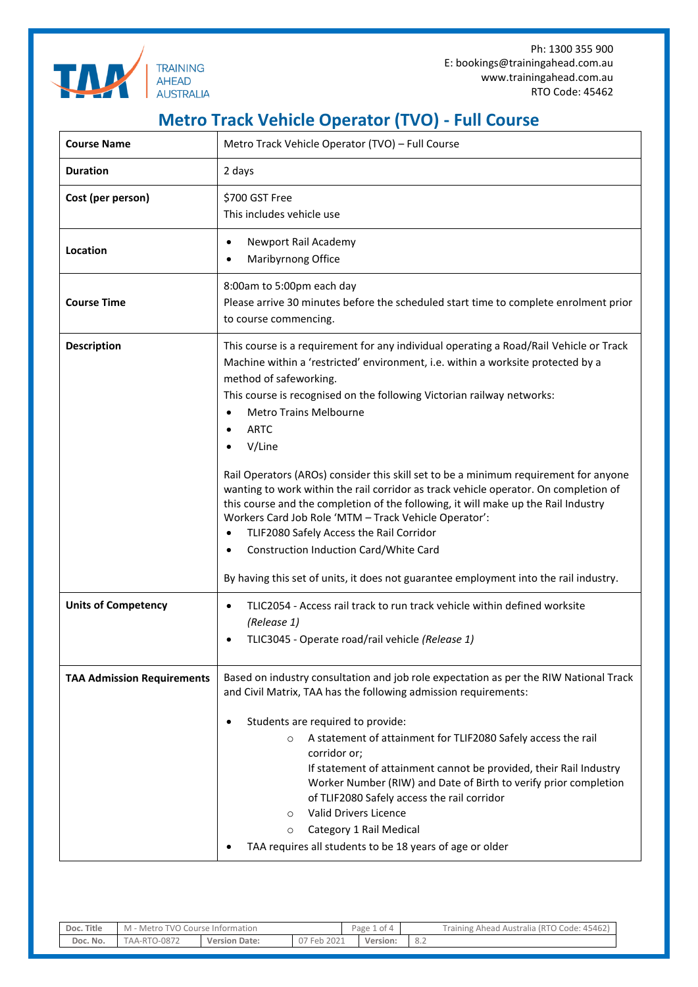

Ph: 1300 355 900 E: bookings@trainingahead.com.au www.trainingahead.com.au RTO Code: 45462

## **Metro Track Vehicle Operator (TVO) - Full Course**

| <b>Course Name</b>                | Metro Track Vehicle Operator (TVO) - Full Course                                                                                                                                                                                                                                                                                                                                                                                                                                                                                                                                                                                                                                                                                                                                                                                                                                                    |  |  |  |  |  |  |
|-----------------------------------|-----------------------------------------------------------------------------------------------------------------------------------------------------------------------------------------------------------------------------------------------------------------------------------------------------------------------------------------------------------------------------------------------------------------------------------------------------------------------------------------------------------------------------------------------------------------------------------------------------------------------------------------------------------------------------------------------------------------------------------------------------------------------------------------------------------------------------------------------------------------------------------------------------|--|--|--|--|--|--|
| <b>Duration</b>                   | 2 days                                                                                                                                                                                                                                                                                                                                                                                                                                                                                                                                                                                                                                                                                                                                                                                                                                                                                              |  |  |  |  |  |  |
| Cost (per person)                 | \$700 GST Free<br>This includes vehicle use                                                                                                                                                                                                                                                                                                                                                                                                                                                                                                                                                                                                                                                                                                                                                                                                                                                         |  |  |  |  |  |  |
| Location                          | Newport Rail Academy<br>$\bullet$<br>Maribyrnong Office<br>$\bullet$                                                                                                                                                                                                                                                                                                                                                                                                                                                                                                                                                                                                                                                                                                                                                                                                                                |  |  |  |  |  |  |
| <b>Course Time</b>                | 8:00am to 5:00pm each day<br>Please arrive 30 minutes before the scheduled start time to complete enrolment prior<br>to course commencing.                                                                                                                                                                                                                                                                                                                                                                                                                                                                                                                                                                                                                                                                                                                                                          |  |  |  |  |  |  |
| <b>Description</b>                | This course is a requirement for any individual operating a Road/Rail Vehicle or Track<br>Machine within a 'restricted' environment, i.e. within a worksite protected by a<br>method of safeworking.<br>This course is recognised on the following Victorian railway networks:<br><b>Metro Trains Melbourne</b><br>$\bullet$<br>ARTC<br>$\bullet$<br>V/Line<br>Rail Operators (AROs) consider this skill set to be a minimum requirement for anyone<br>wanting to work within the rail corridor as track vehicle operator. On completion of<br>this course and the completion of the following, it will make up the Rail Industry<br>Workers Card Job Role 'MTM - Track Vehicle Operator':<br>TLIF2080 Safely Access the Rail Corridor<br>$\bullet$<br>Construction Induction Card/White Card<br>$\bullet$<br>By having this set of units, it does not guarantee employment into the rail industry. |  |  |  |  |  |  |
| <b>Units of Competency</b>        | TLIC2054 - Access rail track to run track vehicle within defined worksite<br>(Release 1)<br>TLIC3045 - Operate road/rail vehicle (Release 1)<br>$\bullet$                                                                                                                                                                                                                                                                                                                                                                                                                                                                                                                                                                                                                                                                                                                                           |  |  |  |  |  |  |
| <b>TAA Admission Requirements</b> | Based on industry consultation and job role expectation as per the RIW National Track<br>and Civil Matrix, TAA has the following admission requirements:<br>Students are required to provide:<br>A statement of attainment for TLIF2080 Safely access the rail<br>$\circ$<br>corridor or;<br>If statement of attainment cannot be provided, their Rail Industry<br>Worker Number (RIW) and Date of Birth to verify prior completion<br>of TLIF2080 Safely access the rail corridor<br><b>Valid Drivers Licence</b><br>$\circ$<br>Category 1 Rail Medical<br>$\circ$<br>TAA requires all students to be 18 years of age or older                                                                                                                                                                                                                                                                     |  |  |  |  |  |  |

| Doc. Title | TVO Course Information<br>- Metro<br>M |                      |                    | Page 1 of 4 |          |     | Training Ahead Australia (RTO Code: 45462) |
|------------|----------------------------------------|----------------------|--------------------|-------------|----------|-----|--------------------------------------------|
| Doc. No.   | $0 - 0872$<br>AA-R                     | <b>Version Date:</b> | 2021<br>Feb.<br>U, |             | Version: | 8.2 |                                            |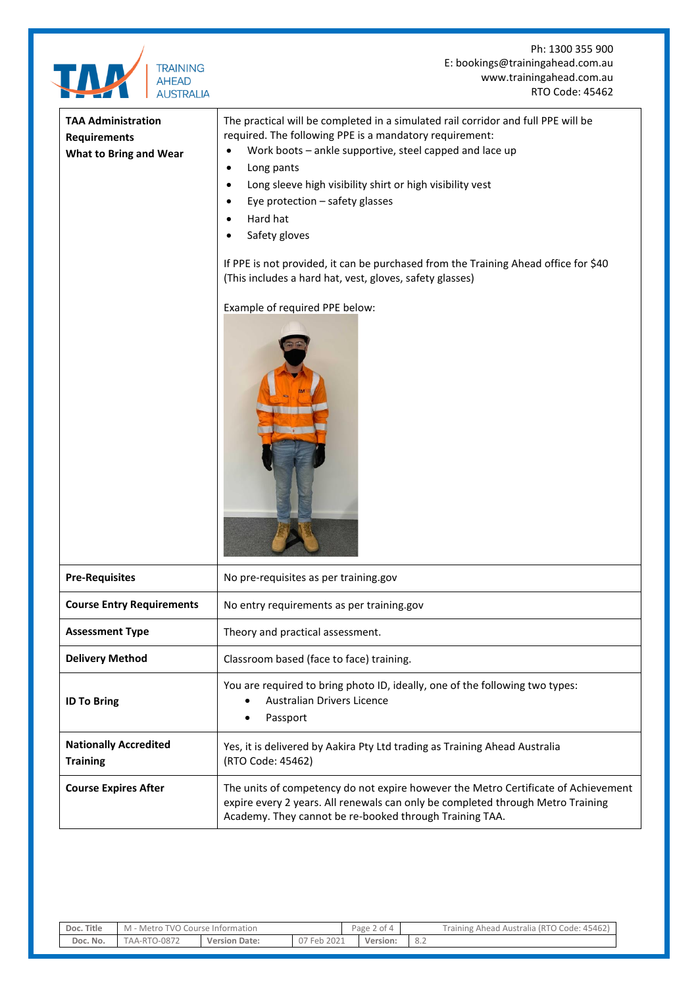

| <b>Pre-Requisites</b>                           | No pre-requisites as per training.gov                                                                                                                                                                                            |  |  |  |  |  |
|-------------------------------------------------|----------------------------------------------------------------------------------------------------------------------------------------------------------------------------------------------------------------------------------|--|--|--|--|--|
| <b>Course Entry Requirements</b>                | No entry requirements as per training gov                                                                                                                                                                                        |  |  |  |  |  |
| <b>Assessment Type</b>                          | Theory and practical assessment.                                                                                                                                                                                                 |  |  |  |  |  |
| <b>Delivery Method</b>                          | Classroom based (face to face) training.                                                                                                                                                                                         |  |  |  |  |  |
| <b>ID To Bring</b>                              | You are required to bring photo ID, ideally, one of the following two types:<br>Australian Drivers Licence<br>Passport                                                                                                           |  |  |  |  |  |
| <b>Nationally Accredited</b><br><b>Training</b> | Yes, it is delivered by Aakira Pty Ltd trading as Training Ahead Australia<br>(RTO Code: 45462)                                                                                                                                  |  |  |  |  |  |
| <b>Course Expires After</b>                     | The units of competency do not expire however the Metro Certificate of Achievement<br>expire every 2 years. All renewals can only be completed through Metro Training<br>Academy. They cannot be re-booked through Training TAA. |  |  |  |  |  |

| Doc. Title | I - Metro TVO Course Information<br>M |                      |             |  | Page 2 of 4 | Training Ahead Australia (RTO Code: 45462) |
|------------|---------------------------------------|----------------------|-------------|--|-------------|--------------------------------------------|
| Doc. No.   | TAA-RTO-0872                          | <b>Version Date:</b> | 07 Feb 2021 |  | Version:    | - 8.2                                      |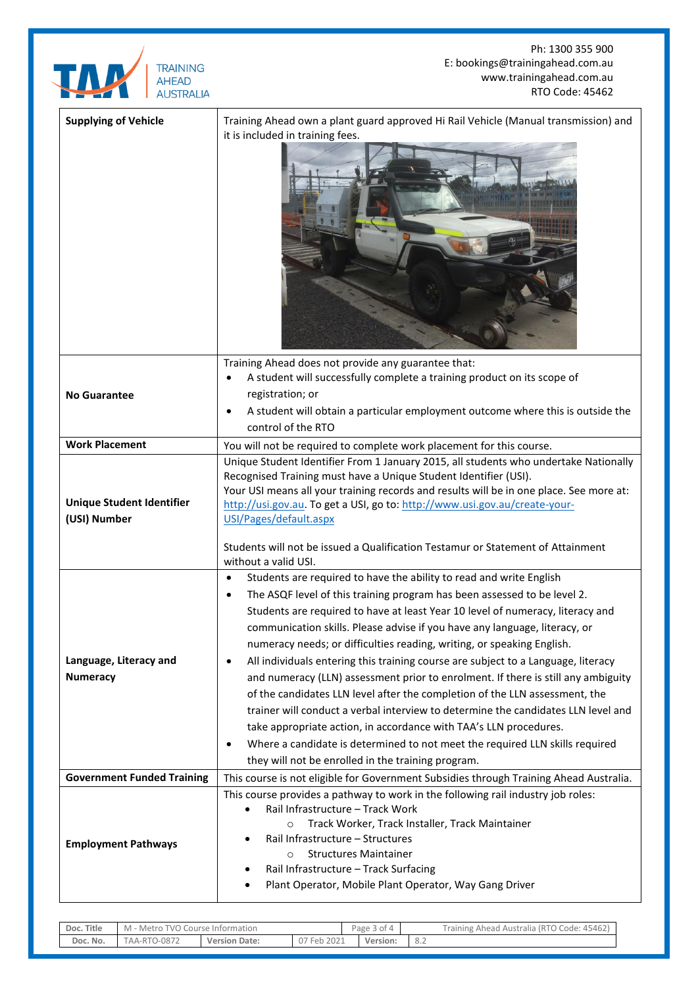

Ph: 1300 355 900 E: bookings@trainingahead.com.au www.trainingahead.com.au RTO Code: 45462

| <b>Supplying of Vehicle</b>                      | Training Ahead own a plant guard approved Hi Rail Vehicle (Manual transmission) and<br>it is included in training fees.                                                                                                                                                                                                                                                                                                                                                                                                                                                                                                                                                                                                                                                                                                                                                                                                                                                                   |
|--------------------------------------------------|-------------------------------------------------------------------------------------------------------------------------------------------------------------------------------------------------------------------------------------------------------------------------------------------------------------------------------------------------------------------------------------------------------------------------------------------------------------------------------------------------------------------------------------------------------------------------------------------------------------------------------------------------------------------------------------------------------------------------------------------------------------------------------------------------------------------------------------------------------------------------------------------------------------------------------------------------------------------------------------------|
| <b>No Guarantee</b>                              | Training Ahead does not provide any guarantee that:<br>A student will successfully complete a training product on its scope of<br>registration; or<br>A student will obtain a particular employment outcome where this is outside the<br>control of the RTO                                                                                                                                                                                                                                                                                                                                                                                                                                                                                                                                                                                                                                                                                                                               |
| <b>Work Placement</b>                            | You will not be required to complete work placement for this course.                                                                                                                                                                                                                                                                                                                                                                                                                                                                                                                                                                                                                                                                                                                                                                                                                                                                                                                      |
| <b>Unique Student Identifier</b><br>(USI) Number | Unique Student Identifier From 1 January 2015, all students who undertake Nationally<br>Recognised Training must have a Unique Student Identifier (USI).<br>Your USI means all your training records and results will be in one place. See more at:<br>http://usi.gov.au. To get a USI, go to: http://www.usi.gov.au/create-your-<br>USI/Pages/default.aspx<br>Students will not be issued a Qualification Testamur or Statement of Attainment<br>without a valid USI.                                                                                                                                                                                                                                                                                                                                                                                                                                                                                                                    |
| Language, Literacy and<br><b>Numeracy</b>        | Students are required to have the ability to read and write English<br>$\bullet$<br>The ASQF level of this training program has been assessed to be level 2.<br>Students are required to have at least Year 10 level of numeracy, literacy and<br>communication skills. Please advise if you have any language, literacy, or<br>numeracy needs; or difficulties reading, writing, or speaking English.<br>All individuals entering this training course are subject to a Language, literacy<br>$\bullet$<br>and numeracy (LLN) assessment prior to enrolment. If there is still any ambiguity<br>of the candidates LLN level after the completion of the LLN assessment, the<br>trainer will conduct a verbal interview to determine the candidates LLN level and<br>take appropriate action, in accordance with TAA's LLN procedures.<br>Where a candidate is determined to not meet the required LLN skills required<br>$\bullet$<br>they will not be enrolled in the training program. |
| <b>Government Funded Training</b>                | This course is not eligible for Government Subsidies through Training Ahead Australia.                                                                                                                                                                                                                                                                                                                                                                                                                                                                                                                                                                                                                                                                                                                                                                                                                                                                                                    |
| <b>Employment Pathways</b>                       | This course provides a pathway to work in the following rail industry job roles:<br>Rail Infrastructure - Track Work<br>$\bullet$<br>Track Worker, Track Installer, Track Maintainer<br>$\circ$<br>Rail Infrastructure - Structures<br><b>Structures Maintainer</b><br>$\circ$<br>Rail Infrastructure - Track Surfacing<br>٠<br>Plant Operator, Mobile Plant Operator, Way Gang Driver<br>٠                                                                                                                                                                                                                                                                                                                                                                                                                                                                                                                                                                                               |

| Doc. Title | M - Metro TVO Course Information |                      |             | Page 3 of 4 |          |     | Training Ahead Australia (RTO Code: 45462) |
|------------|----------------------------------|----------------------|-------------|-------------|----------|-----|--------------------------------------------|
| Doc. No.   | <b>TAA-RTO-0872</b>              | <b>Version Date:</b> | 07 Feb 2021 |             | Version: | 8.2 |                                            |